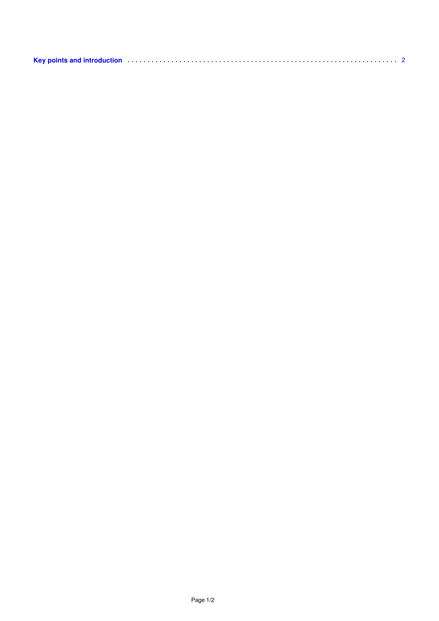| Key points and introduction (1) the contract of the contract of the contract of the contract of the contract of $2$ |  |
|---------------------------------------------------------------------------------------------------------------------|--|
|                                                                                                                     |  |